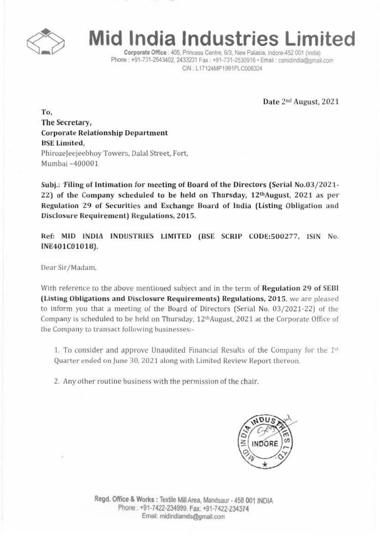

## **Mid India Industries Limited**

Corporate Office : 405. Princess Centre. 6/3. New Palasia. Indore-452 001 (India) Phone: +91-731-2543402, 2433231 Fax: +91-731-2530916 · Email: csmidindia@gmail.com CIN: L17124MP1991PLC006324

Date 2nd August, 2021

To, The Secretary, Corporate Relationship Department BSE Limited, Phirozeleejeebhoy Towers, Dalal Street, Fort, Mumbai -400001

Subj.: 'Filing of Intimation for meeting of Board of the Directors (Serial No.03/2021-22) of the Company scheduled to be held on Thursday, 12<sup>th</sup>August, 2021 as per Regulation 29 of Securities and Exchange Board of India (Listing Obligation and Disclosure Requirement) Regulations, 2015.

Ref: MID INDIA INDUSTRIES LIMITED (BSE SCRIP CODE:500277, ISIN No. INE401C01018).

Dear Sir/Madam,

With reference to the above mentioned subject and in the term of Regulation 29 of SEBI (Listing Obligations and Disclosure Requirements) Regulations, 2015, we are pleased to inform you that a meeting of the Board of Directors (Serial No. 03/2021-22) of the Company is scheduled to be held on Thursday, 12<sup>th</sup>August, 2021 at the Corporate Office of the Company to transact following businesses:-

1. To consider and approve Unaudited Financial Results of the Company for the  $1<sup>st</sup>$ Quarter ended on June 30, 2021 along with Limited Review Report thereon.

2, Any other routine business with the permission of the chair,



Regd. Office & Works: Textile Mill Area, Mandsaur - 458 001 INDIA Phone: +91·7422-234999. Fax. +91·7422·234374 Email: midindiamds@gmail.com